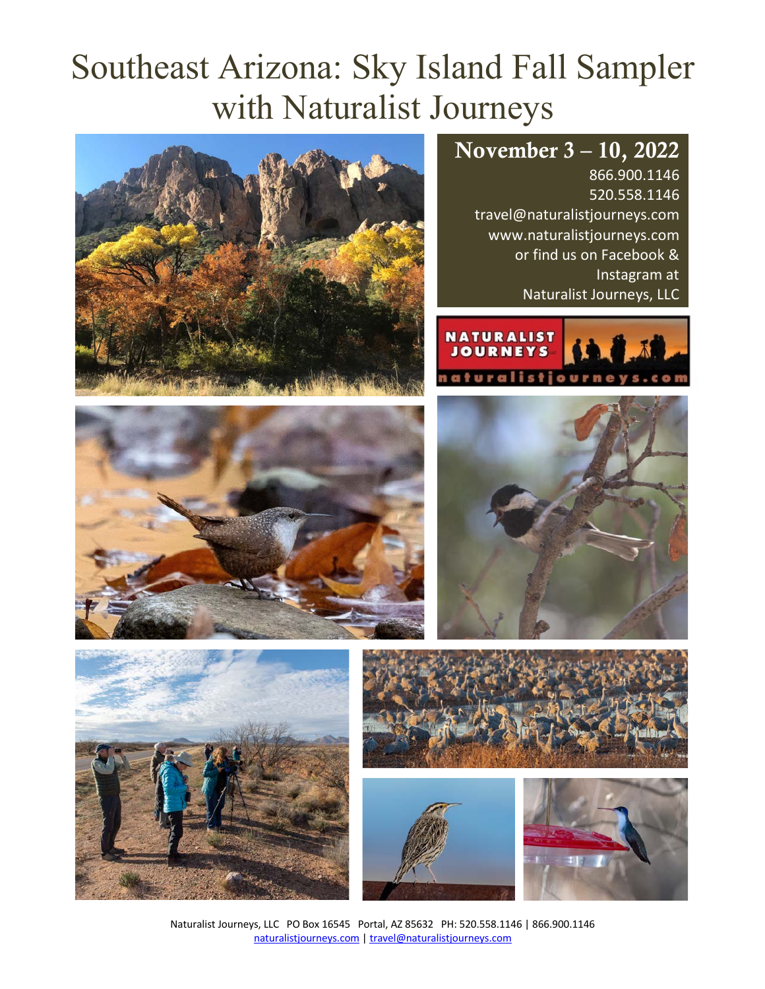# Southeast Arizona: Sky Island Fall Sampler with Naturalist Journeys

# November 3 – 10, 2022

866.900.1146 520.558.1146 travel@naturalistjourneys.com www.naturalistjourneys.com or find us on Facebook & Instagram at Naturalist Journeys, LLC













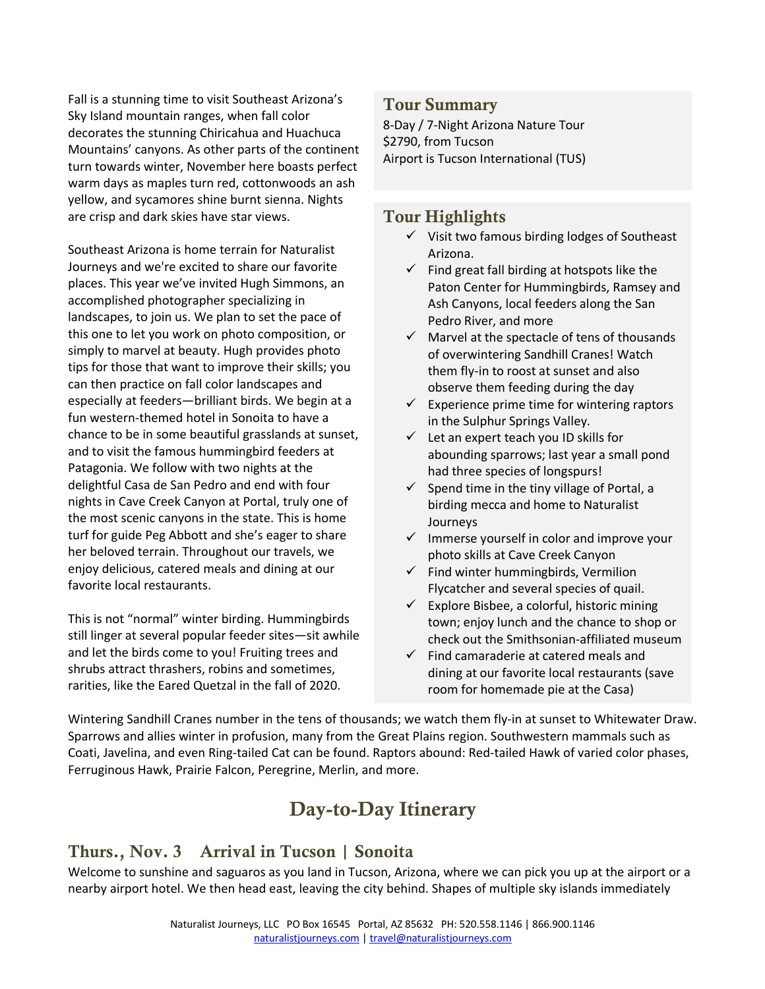Fall is a stunning time to visit Southeast Arizona's Sky Island mountain ranges, when fall color decorates the stunning Chiricahua and Huachuca Mountains' canyons. As other parts of the continent turn towards winter, November here boasts perfect warm days as maples turn red, cottonwoods an ash yellow, and sycamores shine burnt sienna. Nights are crisp and dark skies have star views.

Southeast Arizona is home terrain for Naturalist Journeys and we're excited to share our favorite places. This year we've invited Hugh Simmons, an accomplished photographer specializing in landscapes, to join us. We plan to set the pace of this one to let you work on photo composition, or simply to marvel at beauty. Hugh provides photo tips for those that want to improve their skills; you can then practice on fall color landscapes and especially at feeders—brilliant birds. We begin at a fun western-themed hotel in Sonoita to have a chance to be in some beautiful grasslands at sunset, and to visit the famous hummingbird feeders at Patagonia. We follow with two nights at the delightful Casa de San Pedro and end with four nights in Cave Creek Canyon at Portal, truly one of the most scenic canyons in the state. This is home turf for guide Peg Abbott and she's eager to share her beloved terrain. Throughout our travels, we enjoy delicious, catered meals and dining at our favorite local restaurants.

This is not "normal" winter birding. Hummingbirds still linger at several popular feeder sites—sit awhile and let the birds come to you! Fruiting trees and shrubs attract thrashers, robins and sometimes, rarities, like the Eared Quetzal in the fall of 2020.

#### Tour Summary

8-Day / 7-Night Arizona Nature Tour \$2790, from Tucson Airport is Tucson International (TUS)

#### Tour Highlights

- $\checkmark$  Visit two famous birding lodges of Southeast Arizona.
- $\checkmark$  Find great fall birding at hotspots like the Paton Center for Hummingbirds, Ramsey and Ash Canyons, local feeders along the San Pedro River, and more
- $\checkmark$  Marvel at the spectacle of tens of thousands of overwintering Sandhill Cranes! Watch them fly-in to roost at sunset and also observe them feeding during the day
- $\checkmark$  Experience prime time for wintering raptors in the Sulphur Springs Valley.
- $\checkmark$  Let an expert teach you ID skills for abounding sparrows; last year a small pond had three species of longspurs!
- $\checkmark$  Spend time in the tiny village of Portal, a birding mecca and home to Naturalist Journeys
- $\checkmark$  Immerse yourself in color and improve your photo skills at Cave Creek Canyon
- $\checkmark$  Find winter hummingbirds, Vermilion Flycatcher and several species of quail.
- $\checkmark$  Explore Bisbee, a colorful, historic mining town; enjoy lunch and the chance to shop or check out the Smithsonian-affiliated museum
- $\checkmark$  Find camaraderie at catered meals and dining at our favorite local restaurants (save room for homemade pie at the Casa)

Wintering Sandhill Cranes number in the tens of thousands; we watch them fly-in at sunset to Whitewater Draw. Sparrows and allies winter in profusion, many from the Great Plains region. Southwestern mammals such as Coati, Javelina, and even Ring-tailed Cat can be found. Raptors abound: Red-tailed Hawk of varied color phases, Ferruginous Hawk, Prairie Falcon, Peregrine, Merlin, and more.

# Day-to-Day Itinerary

# Thurs., Nov. 3 Arrival in Tucson | Sonoita

Welcome to sunshine and saguaros as you land in Tucson, Arizona, where we can pick you up at the airport or a nearby airport hotel. We then head east, leaving the city behind. Shapes of multiple sky islands immediately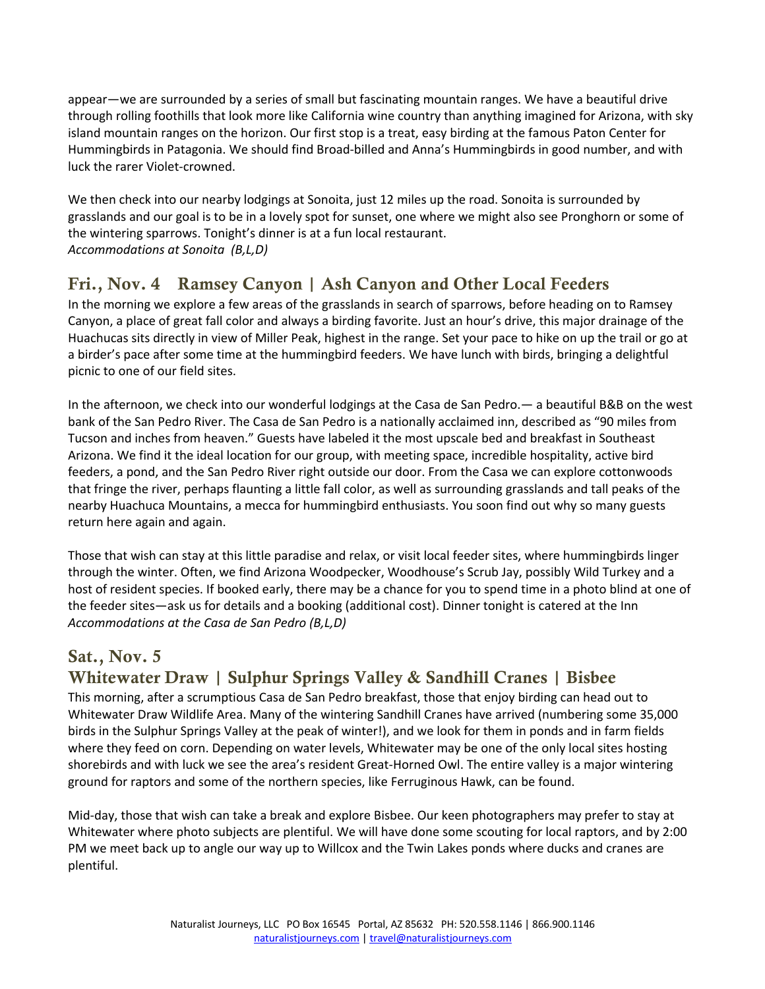appear—we are surrounded by a series of small but fascinating mountain ranges. We have a beautiful drive through rolling foothills that look more like California wine country than anything imagined for Arizona, with sky island mountain ranges on the horizon. Our first stop is a treat, easy birding at the famous Paton Center for Hummingbirds in Patagonia. We should find Broad-billed and Anna's Hummingbirds in good number, and with luck the rarer Violet-crowned.

We then check into our nearby lodgings at Sonoita, just 12 miles up the road. Sonoita is surrounded by grasslands and our goal is to be in a lovely spot for sunset, one where we might also see Pronghorn or some of the wintering sparrows. Tonight's dinner is at a fun local restaurant. *Accommodations at Sonoita (B,L,D)*

# Fri., Nov. 4 Ramsey Canyon | Ash Canyon and Other Local Feeders

In the morning we explore a few areas of the grasslands in search of sparrows, before heading on to Ramsey Canyon, a place of great fall color and always a birding favorite. Just an hour's drive, this major drainage of the Huachucas sits directly in view of Miller Peak, highest in the range. Set your pace to hike on up the trail or go at a birder's pace after some time at the hummingbird feeders. We have lunch with birds, bringing a delightful picnic to one of our field sites.

In the afternoon, we check into our wonderful lodgings at the Casa de San Pedro.— a beautiful B&B on the west bank of the San Pedro River. The Casa de San Pedro is a nationally acclaimed inn, described as "90 miles from Tucson and inches from heaven." Guests have labeled it the most upscale bed and breakfast in Southeast Arizona. We find it the ideal location for our group, with meeting space, incredible hospitality, active bird feeders, a pond, and the San Pedro River right outside our door. From the Casa we can explore cottonwoods that fringe the river, perhaps flaunting a little fall color, as well as surrounding grasslands and tall peaks of the nearby Huachuca Mountains, a mecca for hummingbird enthusiasts. You soon find out why so many guests return here again and again.

Those that wish can stay at this little paradise and relax, or visit local feeder sites, where hummingbirds linger through the winter. Often, we find Arizona Woodpecker, Woodhouse's Scrub Jay, possibly Wild Turkey and a host of resident species. If booked early, there may be a chance for you to spend time in a photo blind at one of the feeder sites—ask us for details and a booking (additional cost). Dinner tonight is catered at the Inn *Accommodations at the Casa de San Pedro (B,L,D)* 

# Sat., Nov. 5

# Whitewater Draw | Sulphur Springs Valley & Sandhill Cranes | Bisbee

This morning, after a scrumptious Casa de San Pedro breakfast, those that enjoy birding can head out to Whitewater Draw Wildlife Area. Many of the wintering Sandhill Cranes have arrived (numbering some 35,000 birds in the Sulphur Springs Valley at the peak of winter!), and we look for them in ponds and in farm fields where they feed on corn. Depending on water levels, Whitewater may be one of the only local sites hosting shorebirds and with luck we see the area's resident Great-Horned Owl. The entire valley is a major wintering ground for raptors and some of the northern species, like Ferruginous Hawk, can be found.

Mid-day, those that wish can take a break and explore Bisbee. Our keen photographers may prefer to stay at Whitewater where photo subjects are plentiful. We will have done some scouting for local raptors, and by 2:00 PM we meet back up to angle our way up to Willcox and the Twin Lakes ponds where ducks and cranes are plentiful.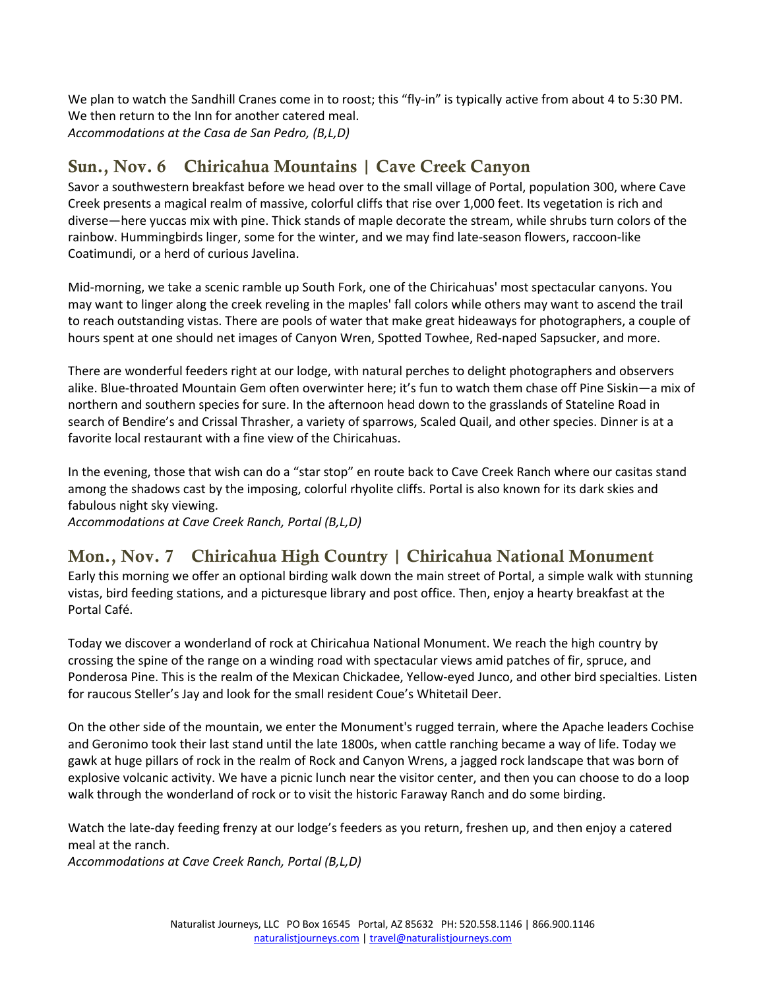We plan to watch the Sandhill Cranes come in to roost; this "fly-in" is typically active from about 4 to 5:30 PM. We then return to the Inn for another catered meal. *Accommodations at the Casa de San Pedro, (B,L,D)* 

# Sun., Nov. 6 Chiricahua Mountains | Cave Creek Canyon

Savor a southwestern breakfast before we head over to the small village of Portal, population 300, where Cave Creek presents a magical realm of massive, colorful cliffs that rise over 1,000 feet. Its vegetation is rich and diverse—here yuccas mix with pine. Thick stands of maple decorate the stream, while shrubs turn colors of the rainbow. Hummingbirds linger, some for the winter, and we may find late-season flowers, raccoon-like Coatimundi, or a herd of curious Javelina.

Mid-morning, we take a scenic ramble up South Fork, one of the Chiricahuas' most spectacular canyons. You may want to linger along the creek reveling in the maples' fall colors while others may want to ascend the trail to reach outstanding vistas. There are pools of water that make great hideaways for photographers, a couple of hours spent at one should net images of Canyon Wren, Spotted Towhee, Red-naped Sapsucker, and more.

There are wonderful feeders right at our lodge, with natural perches to delight photographers and observers alike. Blue-throated Mountain Gem often overwinter here; it's fun to watch them chase off Pine Siskin—a mix of northern and southern species for sure. In the afternoon head down to the grasslands of Stateline Road in search of Bendire's and Crissal Thrasher, a variety of sparrows, Scaled Quail, and other species. Dinner is at a favorite local restaurant with a fine view of the Chiricahuas.

In the evening, those that wish can do a "star stop" en route back to Cave Creek Ranch where our casitas stand among the shadows cast by the imposing, colorful rhyolite cliffs. Portal is also known for its dark skies and fabulous night sky viewing.

*Accommodations at Cave Creek Ranch, Portal (B,L,D)* 

# Mon., Nov. 7 Chiricahua High Country | Chiricahua National Monument

Early this morning we offer an optional birding walk down the main street of Portal, a simple walk with stunning vistas, bird feeding stations, and a picturesque library and post office. Then, enjoy a hearty breakfast at the Portal Café.

Today we discover a wonderland of rock at Chiricahua National Monument. We reach the high country by crossing the spine of the range on a winding road with spectacular views amid patches of fir, spruce, and Ponderosa Pine. This is the realm of the Mexican Chickadee, Yellow-eyed Junco, and other bird specialties. Listen for raucous Steller's Jay and look for the small resident Coue's Whitetail Deer.

On the other side of the mountain, we enter the Monument's rugged terrain, where the Apache leaders Cochise and Geronimo took their last stand until the late 1800s, when cattle ranching became a way of life. Today we gawk at huge pillars of rock in the realm of Rock and Canyon Wrens, a jagged rock landscape that was born of explosive volcanic activity. We have a picnic lunch near the visitor center, and then you can choose to do a loop walk through the wonderland of rock or to visit the historic Faraway Ranch and do some birding.

Watch the late-day feeding frenzy at our lodge's feeders as you return, freshen up, and then enjoy a catered meal at the ranch.

*Accommodations at Cave Creek Ranch, Portal (B,L,D)*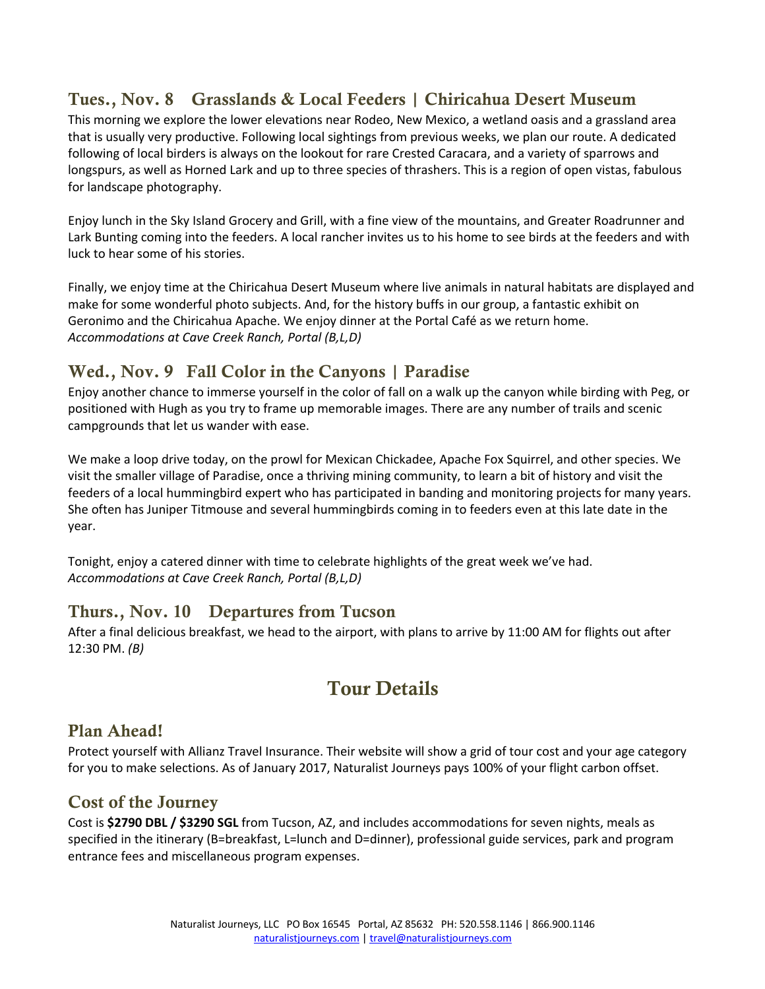# Tues., Nov. 8 Grasslands & Local Feeders | Chiricahua Desert Museum

This morning we explore the lower elevations near Rodeo, New Mexico, a wetland oasis and a grassland area that is usually very productive. Following local sightings from previous weeks, we plan our route. A dedicated following of local birders is always on the lookout for rare Crested Caracara, and a variety of sparrows and longspurs, as well as Horned Lark and up to three species of thrashers. This is a region of open vistas, fabulous for landscape photography.

Enjoy lunch in the Sky Island Grocery and Grill, with a fine view of the mountains, and Greater Roadrunner and Lark Bunting coming into the feeders. A local rancher invites us to his home to see birds at the feeders and with luck to hear some of his stories.

Finally, we enjoy time at the Chiricahua Desert Museum where live animals in natural habitats are displayed and make for some wonderful photo subjects. And, for the history buffs in our group, a fantastic exhibit on Geronimo and the Chiricahua Apache. We enjoy dinner at the Portal Café as we return home. *Accommodations at Cave Creek Ranch, Portal (B,L,D)* 

### Wed., Nov. 9 Fall Color in the Canyons | Paradise

Enjoy another chance to immerse yourself in the color of fall on a walk up the canyon while birding with Peg, or positioned with Hugh as you try to frame up memorable images. There are any number of trails and scenic campgrounds that let us wander with ease.

We make a loop drive today, on the prowl for Mexican Chickadee, Apache Fox Squirrel, and other species. We visit the smaller village of Paradise, once a thriving mining community, to learn a bit of history and visit the feeders of a local hummingbird expert who has participated in banding and monitoring projects for many years. She often has Juniper Titmouse and several hummingbirds coming in to feeders even at this late date in the year.

Tonight, enjoy a catered dinner with time to celebrate highlights of the great week we've had. *Accommodations at Cave Creek Ranch, Portal (B,L,D)* 

#### Thurs., Nov. 10 Departures from Tucson

After a final delicious breakfast, we head to the airport, with plans to arrive by 11:00 AM for flights out after 12:30 PM. *(B)*

# Tour Details

#### Plan Ahead!

Protect yourself with Allianz Travel Insurance. Their website will show a grid of tour cost and your age category for you to make selections. As of January 2017, Naturalist Journeys pays 100% of your flight carbon offset.

#### Cost of the Journey

Cost is **\$2790 DBL / \$3290 SGL** from Tucson, AZ, and includes accommodations for seven nights, meals as specified in the itinerary (B=breakfast, L=lunch and D=dinner), professional guide services, park and program entrance fees and miscellaneous program expenses.